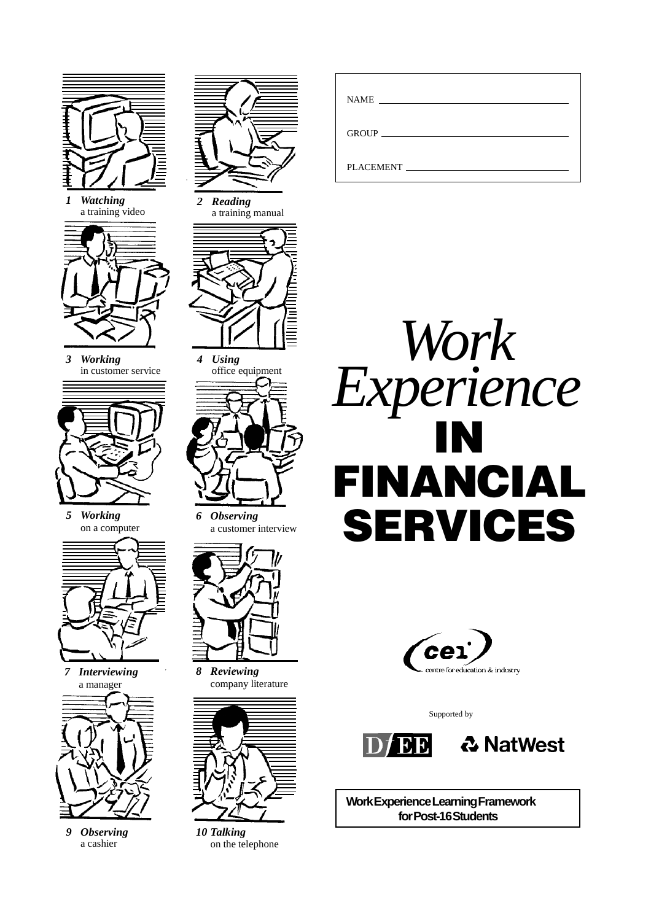

*1 Watching* a training video



*3 Working* in customer service



*5 Working* on a computer



*7 Interviewing* a manager



*9 Observing* a cashier



*2 Reading* a training manual



*4 Using* office equipment



*6 Observing* a customer interview



*8 Reviewing* company literature



*10 Talking* on the telephone

| <b>NAME</b><br><u> 1986 - John Stein, Amerikaansk politiker (</u> |
|-------------------------------------------------------------------|
|                                                                   |
| PLACEMENT                                                         |





Supported by



**Work Experience Learning Framework for Post-16 Students**